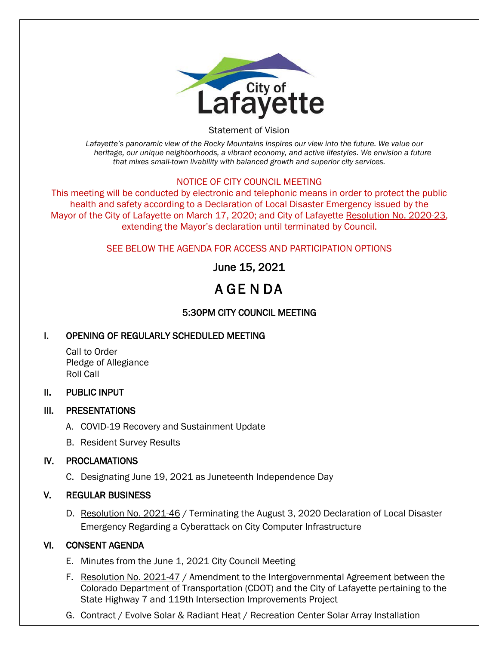

Statement of Vision

*Lafayette's panoramic view of the Rocky Mountains inspires our view into the future. We value our heritage, our unique neighborhoods, a vibrant economy, and active lifestyles. We envision a future that mixes small-town livability with balanced growth and superior city services.*

#### NOTICE OF CITY COUNCIL MEETING

This meeting will be conducted by electronic and telephonic means in order to protect the public health and safety according to a Declaration of Local Disaster Emergency issued by the Mayor of the City of Lafayette on March 17, 2020; and City of Lafayette Resolution No. 2020-23, extending the Mayor's declaration until terminated by Council.

## SEE BELOW THE AGENDA FOR ACCESS AND PARTICIPATION OPTIONS

June 15, 2021

# A GE N DA

## 5:30PM CITY COUNCIL MEETING

## I. OPENING OF REGULARLY SCHEDULED MEETING

Call to Order Pledge of Allegiance Roll Call

#### II. PUBLIC INPUT

## III. PRESENTATIONS

- A. COVID-19 Recovery and Sustainment Update
- B. Resident Survey Results

## IV. PROCLAMATIONS

C. Designating June 19, 2021 as Juneteenth Independence Day

## V. REGULAR BUSINESS

D. Resolution No. 2021-46 / Terminating the August 3, 2020 Declaration of Local Disaster Emergency Regarding a Cyberattack on City Computer Infrastructure

## VI. CONSENT AGENDA

- E. Minutes from the June 1, 2021 City Council Meeting
- F. Resolution No. 2021-47 / Amendment to the Intergovernmental Agreement between the Colorado Department of Transportation (CDOT) and the City of Lafayette pertaining to the State Highway 7 and 119th Intersection Improvements Project
- G. Contract / Evolve Solar & Radiant Heat / Recreation Center Solar Array Installation